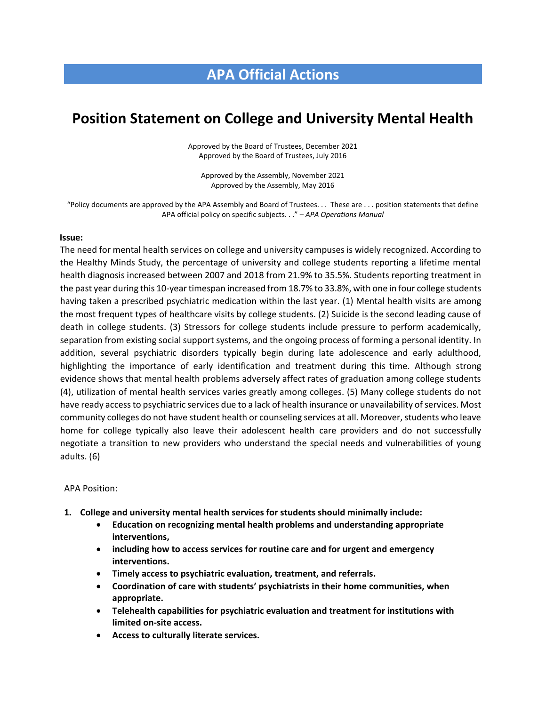## **APA Official Actions**

# **Position Statement on College and University Mental Health**

Approved by the Board of Trustees, December 2021 Approved by the Board of Trustees, July 2016

Approved by the Assembly, November 2021 Approved by the Assembly, May 2016

"Policy documents are approved by the APA Assembly and Board of Trustees. . . These are . . . position statements that define APA official policy on specific subjects. . ." – *APA Operations Manual*

#### **Issue:**

The need for mental health services on college and university campuses is widely recognized. According to the Healthy Minds Study, the percentage of university and college students reporting a lifetime mental health diagnosis increased between 2007 and 2018 from 21.9% to 35.5%. Students reporting treatment in the past year during this 10-year timespan increased from 18.7% to 33.8%, with one in four college students having taken a prescribed psychiatric medication within the last year. (1) Mental health visits are among the most frequent types of healthcare visits by college students. (2) Suicide is the second leading cause of death in college students. (3) Stressors for college students include pressure to perform academically, separation from existing social support systems, and the ongoing process of forming a personal identity. In addition, several psychiatric disorders typically begin during late adolescence and early adulthood, highlighting the importance of early identification and treatment during this time. Although strong evidence shows that mental health problems adversely affect rates of graduation among college students (4), utilization of mental health services varies greatly among colleges. (5) Many college students do not have ready access to psychiatric services due to a lack of health insurance or unavailability of services. Most community colleges do not have student health or counseling services at all. Moreover, students who leave home for college typically also leave their adolescent health care providers and do not successfully negotiate a transition to new providers who understand the special needs and vulnerabilities of young adults. (6)

#### APA Position:

- **1. College and university mental health services for students should minimally include:** 
	- **Education on recognizing mental health problems and understanding appropriate interventions,**
	- **including how to access services for routine care and for urgent and emergency interventions.**
	- **Timely access to psychiatric evaluation, treatment, and referrals.**
	- **Coordination of care with students' psychiatrists in their home communities, when appropriate.**
	- **Telehealth capabilities for psychiatric evaluation and treatment for institutions with limited on-site access.**
	- **Access to culturally literate services.**